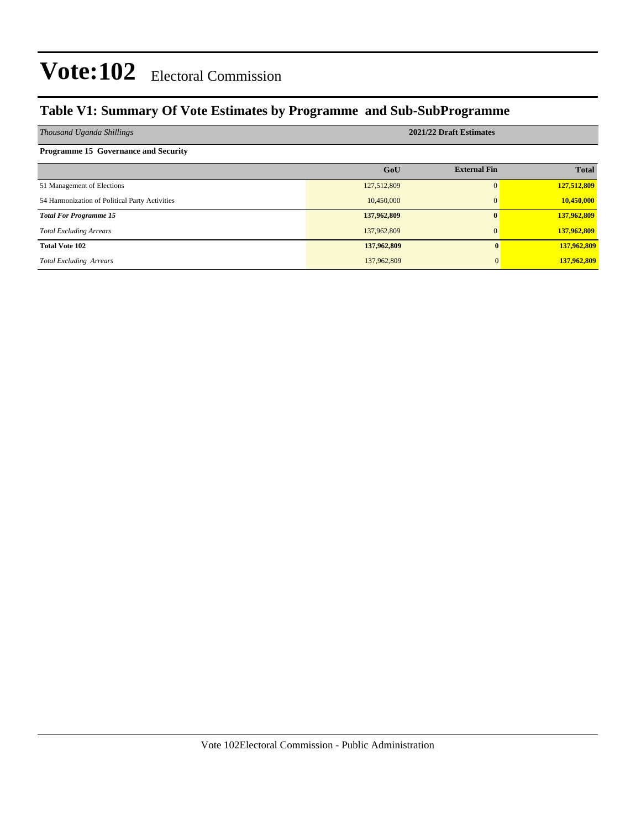### **Table V1: Summary Of Vote Estimates by Programme and Sub-SubProgramme**

| Thousand Uganda Shillings                      | 2021/22 Draft Estimates |                     |              |  |  |  |  |
|------------------------------------------------|-------------------------|---------------------|--------------|--|--|--|--|
| <b>Programme 15 Governance and Security</b>    |                         |                     |              |  |  |  |  |
|                                                | GoU                     | <b>External Fin</b> | <b>Total</b> |  |  |  |  |
| 51 Management of Elections                     | 127,512,809             | 0                   | 127,512,809  |  |  |  |  |
| 54 Harmonization of Political Party Activities | 10,450,000              | $\Omega$            | 10,450,000   |  |  |  |  |
| <b>Total For Programme 15</b>                  | 137,962,809             | $\mathbf{0}$        | 137,962,809  |  |  |  |  |
| <b>Total Excluding Arrears</b>                 | 137,962,809             | $\Omega$            | 137,962,809  |  |  |  |  |
| <b>Total Vote 102</b>                          | 137,962,809             |                     | 137,962,809  |  |  |  |  |
| <b>Total Excluding Arrears</b>                 | 137,962,809             |                     | 137,962,809  |  |  |  |  |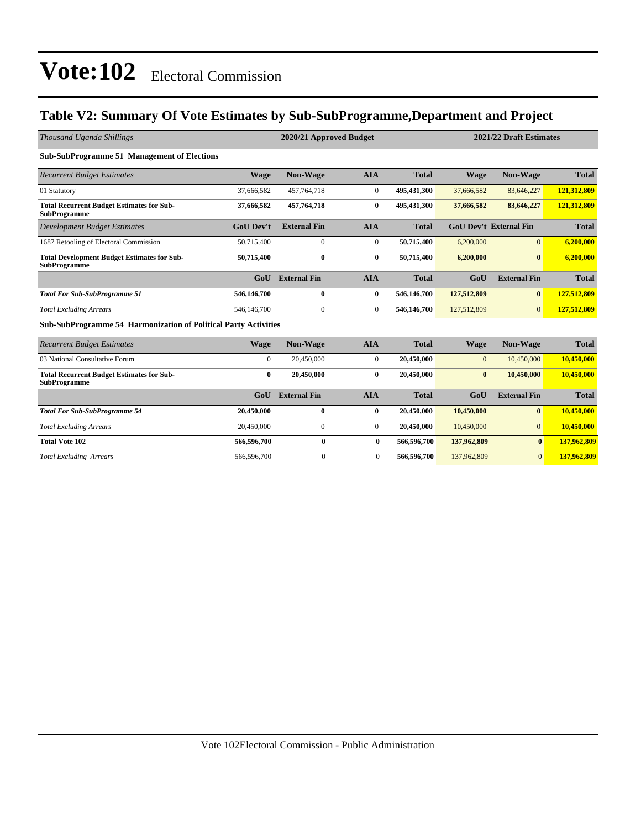### **Table V2: Summary Of Vote Estimates by Sub-SubProgramme,Department and Project**

| Thousand Uganda Shillings                                                 |                  | 2021/22 Draft Estimates<br>2020/21 Approved Budget |                  |              |              |                               |              |
|---------------------------------------------------------------------------|------------------|----------------------------------------------------|------------------|--------------|--------------|-------------------------------|--------------|
| <b>Sub-SubProgramme 51 Management of Elections</b>                        |                  |                                                    |                  |              |              |                               |              |
| <b>Recurrent Budget Estimates</b>                                         | <b>Wage</b>      | <b>Non-Wage</b>                                    | <b>AIA</b>       | <b>Total</b> | <b>Wage</b>  | Non-Wage                      | <b>Total</b> |
| 01 Statutory                                                              | 37,666,582       | 457,764,718                                        | $\boldsymbol{0}$ | 495,431,300  | 37,666,582   | 83,646,227                    | 121,312,809  |
| <b>Total Recurrent Budget Estimates for Sub-</b><br><b>SubProgramme</b>   | 37,666,582       | 457,764,718                                        | $\bf{0}$         | 495,431,300  | 37,666,582   | 83,646,227                    | 121,312,809  |
| <b>Development Budget Estimates</b>                                       | <b>GoU Dev't</b> | <b>External Fin</b>                                | <b>AIA</b>       | <b>Total</b> |              | <b>GoU Dev't External Fin</b> | <b>Total</b> |
| 1687 Retooling of Electoral Commission                                    | 50,715,400       | $\overline{0}$                                     | $\mathbf{0}$     | 50,715,400   | 6,200,000    | $\overline{0}$                | 6,200,000    |
| <b>Total Development Budget Estimates for Sub-</b><br><b>SubProgramme</b> | 50,715,400       | $\mathbf{0}$                                       | $\bf{0}$         | 50,715,400   | 6.200.000    | $\mathbf{0}$                  | 6.200,000    |
|                                                                           | Gol              | <b>External Fin</b>                                | <b>AIA</b>       | <b>Total</b> | GoU          | <b>External Fin</b>           | <b>Total</b> |
| <b>Total For Sub-SubProgramme 51</b>                                      | 546,146,700      | $\bf{0}$                                           | $\bf{0}$         | 546,146,700  | 127,512,809  | $\bf{0}$                      | 127,512,809  |
| <b>Total Excluding Arrears</b>                                            | 546,146,700      | $\mathbf{0}$                                       | $\mathbf{0}$     | 546,146,700  | 127,512,809  | $\mathbf{0}$                  | 127,512,809  |
| <b>Sub-SubProgramme 54 Harmonization of Political Party Activities</b>    |                  |                                                    |                  |              |              |                               |              |
| <b>Recurrent Budget Estimates</b>                                         | <b>Wage</b>      | <b>Non-Wage</b>                                    | <b>AIA</b>       | <b>Total</b> | <b>Wage</b>  | Non-Wage                      | <b>Total</b> |
| 03 National Consultative Forum                                            | $\overline{0}$   | 20,450,000                                         | $\boldsymbol{0}$ | 20,450,000   | $\mathbf{0}$ | 10,450,000                    | 10,450,000   |
| <b>Total Recurrent Budget Estimates for Sub-</b><br><b>SubProgramme</b>   | $\bf{0}$         | 20,450,000                                         | $\bf{0}$         | 20,450,000   | $\bf{0}$     | 10,450,000                    | 10,450,000   |
|                                                                           | GoU              | <b>External Fin</b>                                | <b>AIA</b>       | <b>Total</b> | GoU          | <b>External Fin</b>           | <b>Total</b> |
| <b>Total For Sub-SubProgramme 54</b>                                      | 20,450,000       | $\bf{0}$                                           | $\bf{0}$         | 20,450,000   | 10,450,000   | $\bf{0}$                      | 10,450,000   |
| <b>Total Excluding Arrears</b>                                            | 20,450,000       | $\Omega$                                           | $\overline{0}$   | 20,450,000   | 10,450,000   | $\overline{0}$                | 10,450,000   |
| <b>Total Vote 102</b>                                                     | 566,596,700      | $\bf{0}$                                           | $\bf{0}$         | 566,596,700  | 137,962,809  | $\mathbf{0}$                  | 137,962,809  |
| <b>Total Excluding Arrears</b>                                            | 566,596,700      | $\mathbf{0}$                                       | $\mathbf{0}$     | 566,596,700  | 137,962,809  | $\overline{0}$                | 137,962,809  |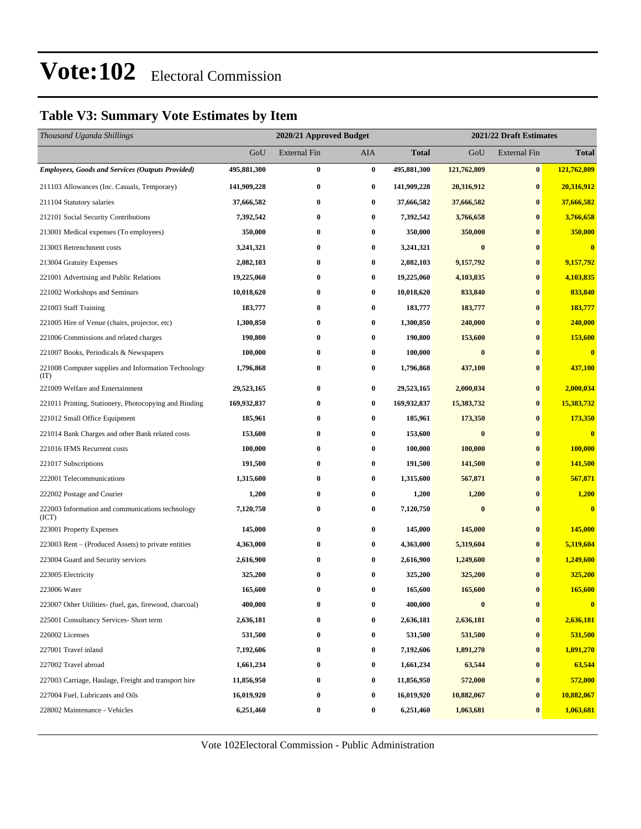### **Table V3: Summary Vote Estimates by Item**

| Thousand Uganda Shillings                                   |             | 2020/21 Approved Budget |                  |              | 2021/22 Draft Estimates |                     |                         |  |  |
|-------------------------------------------------------------|-------------|-------------------------|------------------|--------------|-------------------------|---------------------|-------------------------|--|--|
|                                                             | GoU         | <b>External Fin</b>     | AIA              | <b>Total</b> | GoU                     | <b>External Fin</b> | <b>Total</b>            |  |  |
| <b>Employees, Goods and Services (Outputs Provided)</b>     | 495,881,300 | $\bf{0}$                | $\bf{0}$         | 495,881,300  | 121,762,809             | $\bf{0}$            | 121,762,809             |  |  |
| 211103 Allowances (Inc. Casuals, Temporary)                 | 141,909,228 | $\bf{0}$                | $\bf{0}$         | 141,909,228  | 20,316,912              | $\bf{0}$            | 20,316,912              |  |  |
| 211104 Statutory salaries                                   | 37,666,582  | $\bf{0}$                | $\bf{0}$         | 37,666,582   | 37,666,582              | $\bf{0}$            | 37,666,582              |  |  |
| 212101 Social Security Contributions                        | 7,392,542   | $\bf{0}$                | 0                | 7,392,542    | 3,766,658               | $\bf{0}$            | 3,766,658               |  |  |
| 213001 Medical expenses (To employees)                      | 350,000     | $\bf{0}$                | $\bf{0}$         | 350,000      | 350,000                 | $\bf{0}$            | 350,000                 |  |  |
| 213003 Retrenchment costs                                   | 3,241,321   | $\bf{0}$                | $\bf{0}$         | 3,241,321    | $\bf{0}$                | $\bf{0}$            | $\bf{0}$                |  |  |
| 213004 Gratuity Expenses                                    | 2,082,103   | $\bf{0}$                | $\bf{0}$         | 2,082,103    | 9,157,792               | $\bf{0}$            | 9,157,792               |  |  |
| 221001 Advertising and Public Relations                     | 19,225,060  | $\bf{0}$                | $\bf{0}$         | 19,225,060   | 4,103,835               | $\bf{0}$            | 4,103,835               |  |  |
| 221002 Workshops and Seminars                               | 10,018,620  | $\bf{0}$                | $\bf{0}$         | 10,018,620   | 833,840                 | $\bf{0}$            | 833,840                 |  |  |
| 221003 Staff Training                                       | 183,777     | $\bf{0}$                | $\bf{0}$         | 183,777      | 183,777                 | $\bf{0}$            | 183,777                 |  |  |
| 221005 Hire of Venue (chairs, projector, etc)               | 1,300,850   | $\bf{0}$                | $\bf{0}$         | 1,300,850    | 240,000                 | $\bf{0}$            | 240,000                 |  |  |
| 221006 Commissions and related charges                      | 190,800     | $\bf{0}$                | 0                | 190,800      | 153,600                 | $\bf{0}$            | 153,600                 |  |  |
| 221007 Books, Periodicals & Newspapers                      | 100,000     | $\bf{0}$                | $\bf{0}$         | 100,000      | $\bf{0}$                | $\bf{0}$            | $\bf{0}$                |  |  |
| 221008 Computer supplies and Information Technology<br>(TT) | 1,796,868   | $\bf{0}$                | $\bf{0}$         | 1,796,868    | 437,100                 | $\bf{0}$            | 437,100                 |  |  |
| 221009 Welfare and Entertainment                            | 29,523,165  | $\bf{0}$                | $\boldsymbol{0}$ | 29,523,165   | 2,000,034               | $\bf{0}$            | 2,000,034               |  |  |
| 221011 Printing, Stationery, Photocopying and Binding       | 169,932,837 | $\bf{0}$                | $\bf{0}$         | 169,932,837  | 15,383,732              | $\bf{0}$            | 15,383,732              |  |  |
| 221012 Small Office Equipment                               | 185,961     | $\bf{0}$                | $\bf{0}$         | 185,961      | 173,350                 | $\bf{0}$            | 173,350                 |  |  |
| 221014 Bank Charges and other Bank related costs            | 153,600     | $\bf{0}$                | $\bf{0}$         | 153,600      | $\bf{0}$                | $\bf{0}$            | $\bf{0}$                |  |  |
| 221016 IFMS Recurrent costs                                 | 100,000     | $\bf{0}$                | $\bf{0}$         | 100,000      | 100,000                 | $\bf{0}$            | 100,000                 |  |  |
| 221017 Subscriptions                                        | 191,500     | $\bf{0}$                | 0                | 191,500      | 141,500                 | $\bf{0}$            | 141,500                 |  |  |
| 222001 Telecommunications                                   | 1,315,600   | $\bf{0}$                | $\bf{0}$         | 1,315,600    | 567,871                 | $\bf{0}$            | 567,871                 |  |  |
| 222002 Postage and Courier                                  | 1,200       | $\bf{0}$                | 0                | 1,200        | 1,200                   | $\bf{0}$            | 1,200                   |  |  |
| 222003 Information and communications technology<br>(ICT)   | 7,120,750   | $\bf{0}$                | 0                | 7,120,750    | $\bf{0}$                | $\bf{0}$            | $\overline{\mathbf{0}}$ |  |  |
| 223001 Property Expenses                                    | 145,000     | $\bf{0}$                | $\bf{0}$         | 145,000      | 145,000                 | $\bf{0}$            | 145,000                 |  |  |
| 223003 Rent – (Produced Assets) to private entities         | 4,363,000   | $\bf{0}$                | $\bf{0}$         | 4,363,000    | 5,319,604               | $\bf{0}$            | 5,319,604               |  |  |
| 223004 Guard and Security services                          | 2,616,900   | $\bf{0}$                | $\bf{0}$         | 2,616,900    | 1,249,600               | $\bf{0}$            | 1,249,600               |  |  |
| 223005 Electricity                                          | 325,200     | $\bf{0}$                | $\bf{0}$         | 325,200      | 325,200                 | $\bf{0}$            | 325,200                 |  |  |
| 223006 Water                                                | 165,600     | $\bf{0}$                | $\bf{0}$         | 165,600      | 165,600                 | $\bf{0}$            | 165,600                 |  |  |
| 223007 Other Utilities- (fuel, gas, firewood, charcoal)     | 400,000     | $\bf{0}$                | $\bf{0}$         | 400,000      | $\boldsymbol{0}$        | $\bf{0}$            | $\overline{\mathbf{0}}$ |  |  |
| 225001 Consultancy Services- Short term                     | 2,636,181   | $\bf{0}$                | $\bf{0}$         | 2,636,181    | 2,636,181               | $\bf{0}$            | 2,636,181               |  |  |
| 226002 Licenses                                             | 531,500     | $\bf{0}$                | $\bf{0}$         | 531,500      | 531,500                 | $\bf{0}$            | 531,500                 |  |  |
| 227001 Travel inland                                        | 7,192,606   | $\bf{0}$                | $\bf{0}$         | 7,192,606    | 1,891,270               | $\bf{0}$            | 1,891,270               |  |  |
| 227002 Travel abroad                                        | 1,661,234   | $\bf{0}$                | $\boldsymbol{0}$ | 1,661,234    | 63,544                  | $\bf{0}$            | 63,544                  |  |  |
| 227003 Carriage, Haulage, Freight and transport hire        | 11,856,950  | $\bf{0}$                | $\bf{0}$         | 11,856,950   | 572,000                 | $\bf{0}$            | 572,000                 |  |  |
| 227004 Fuel, Lubricants and Oils                            | 16,019,920  | $\bf{0}$                | $\bf{0}$         | 16,019,920   | 10,882,067              | $\bf{0}$            | 10,882,067              |  |  |
| 228002 Maintenance - Vehicles                               | 6,251,460   | $\bf{0}$                | $\bf{0}$         | 6,251,460    | 1,063,681               | $\bf{0}$            | 1,063,681               |  |  |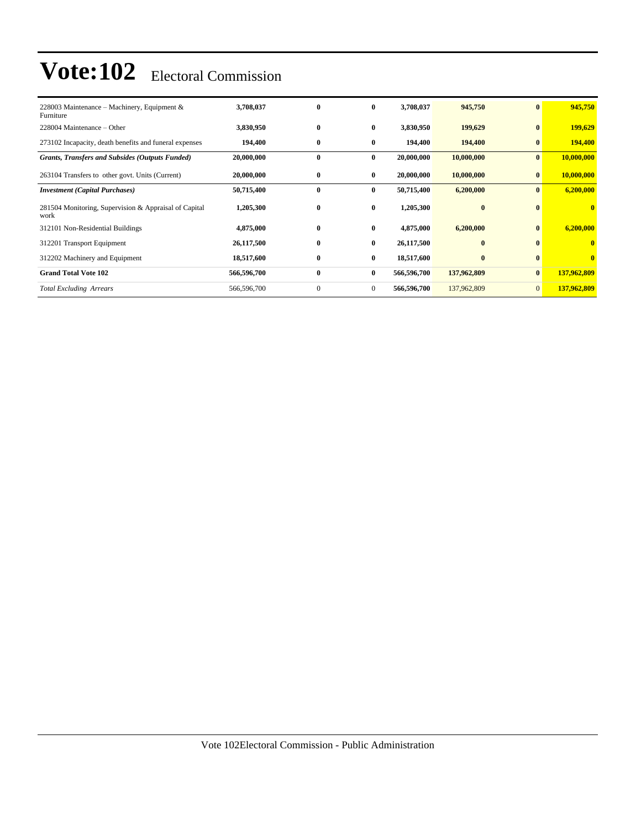| 228003 Maintenance – Machinery, Equipment $\&$<br>Furniture   | 3,708,037   | $\bf{0}$     | $\bf{0}$       | 3,708,037   | 945,750     | $\bf{0}$       | 945,750      |
|---------------------------------------------------------------|-------------|--------------|----------------|-------------|-------------|----------------|--------------|
| 228004 Maintenance – Other                                    | 3,830,950   | $\bf{0}$     | $\bf{0}$       | 3,830,950   | 199,629     | $\bf{0}$       | 199,629      |
| 273102 Incapacity, death benefits and funeral expenses        | 194,400     | $\bf{0}$     | $\bf{0}$       | 194,400     | 194,400     | $\bf{0}$       | 194,400      |
| <b>Grants, Transfers and Subsides (Outputs Funded)</b>        | 20,000,000  | $\bf{0}$     | $\bf{0}$       | 20,000,000  | 10,000,000  | $\bf{0}$       | 10,000,000   |
| 263104 Transfers to other govt. Units (Current)               | 20,000,000  | $\bf{0}$     | $\bf{0}$       | 20,000,000  | 10,000,000  | $\bf{0}$       | 10,000,000   |
| <b>Investment</b> (Capital Purchases)                         | 50,715,400  | $\bf{0}$     | $\bf{0}$       | 50,715,400  | 6,200,000   | $\bf{0}$       | 6,200,000    |
| 281504 Monitoring, Supervision & Appraisal of Capital<br>work | 1,205,300   | $\bf{0}$     | $\bf{0}$       | 1,205,300   | $\bf{0}$    | $\mathbf{0}$   | $\mathbf{0}$ |
| 312101 Non-Residential Buildings                              | 4,875,000   | $\bf{0}$     | $\bf{0}$       | 4,875,000   | 6,200,000   | $\bf{0}$       | 6,200,000    |
| 312201 Transport Equipment                                    | 26,117,500  | $\bf{0}$     | $\bf{0}$       | 26,117,500  | $\bf{0}$    | $\mathbf{0}$   | $\bf{0}$     |
| 312202 Machinery and Equipment                                | 18,517,600  | $\bf{0}$     | $\bf{0}$       | 18,517,600  | $\bf{0}$    | $\mathbf{0}$   | $\bf{0}$     |
| <b>Grand Total Vote 102</b>                                   | 566,596,700 | $\bf{0}$     | $\bf{0}$       | 566,596,700 | 137,962,809 | $\bf{0}$       | 137,962,809  |
| <b>Total Excluding Arrears</b>                                | 566,596,700 | $\mathbf{0}$ | $\overline{0}$ | 566,596,700 | 137,962,809 | $\overline{0}$ | 137,962,809  |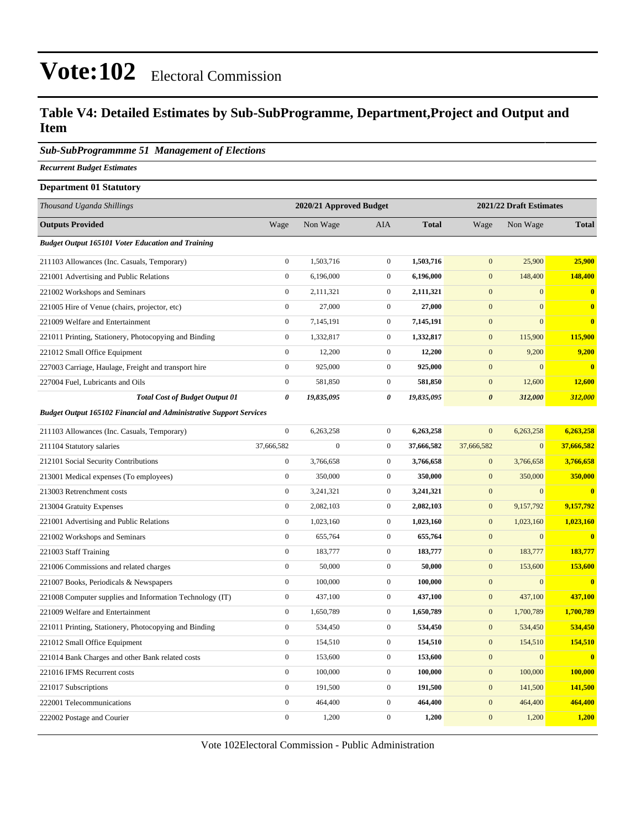### **Table V4: Detailed Estimates by Sub-SubProgramme, Department,Project and Output and Item**

#### *Sub-SubProgrammme 51 Management of Elections*

*Recurrent Budget Estimates*

### **Department 01 Statutory** *Thousand Uganda Shillings* **2020/21 Approved Budget 2021/22 Draft Estimates Outputs Provided** Wage Non Wage AIA **Total** Wage Non Wage **Total** *Budget Output 165101 Voter Education and Training* 211103 Allowances (Inc. Casuals, Temporary) 0 1,503,716 0 **1,503,716** 0 25,900 **25,900** 221001 Advertising and Public Relations 0 6,196,000 0 **6,196,000** 0 148,400 **148,400** 221002 Workshops and Seminars 0 2,111,321 0 **2,111,321** 0 0 **0** 221005 Hire of Venue (chairs, projector, etc) 0 27,000 0 **27,000** 0 0 **0** 221009 Welfare and Entertainment 0 7,145,191 0 **7,145,191** 0 0 **0** 221011 Printing, Stationery, Photocopying and Binding 0 1,332,817 0 **1,332,817** 0 115,900 **115,900** 221012 Small Office Equipment 0 12,200 0 **12,200** 0 9,200 **9,200** 227003 Carriage, Haulage, Freight and transport hire 0 925,000 0 **925,000** 0 0 **0** 227004 Fuel, Lubricants and Oils 0 581,850 0 **581,850** 0 12,600 **12,600** *Total Cost of Budget Output 01 0 19,835,095 0 19,835,095 0 312,000 312,000 Budget Output 165102 Financial and Administrative Support Services* 211103 Allowances (Inc. Casuals, Temporary) 0 6,263,258 0 **6,263,258** 0 6,263,258 **6,263,258**

| 211104 Statutory salaries                                | 37,666,582     | $\mathbf{0}$ | $\mathbf{0}$   | 37,666,582 | 37,666,582   | $\overline{0}$ | 37,666,582   |
|----------------------------------------------------------|----------------|--------------|----------------|------------|--------------|----------------|--------------|
| 212101 Social Security Contributions                     | $\mathbf{0}$   | 3,766,658    | $\overline{0}$ | 3,766,658  | $\mathbf{0}$ | 3,766,658      | 3,766,658    |
| 213001 Medical expenses (To employees)                   | $\Omega$       | 350,000      | $\overline{0}$ | 350,000    | $\mathbf{0}$ | 350,000        | 350,000      |
| 213003 Retrenchment costs                                | $\overline{0}$ | 3,241,321    | $\overline{0}$ | 3,241,321  | $\mathbf{0}$ | $\mathbf{0}$   | $\bf{0}$     |
| 213004 Gratuity Expenses                                 | $\overline{0}$ | 2,082,103    | $\overline{0}$ | 2,082,103  | $\mathbf{0}$ | 9,157,792      | 9,157,792    |
| 221001 Advertising and Public Relations                  | $\overline{0}$ | 1,023,160    | $\overline{0}$ | 1,023,160  | $\mathbf{0}$ | 1,023,160      | 1,023,160    |
| 221002 Workshops and Seminars                            | $\overline{0}$ | 655,764      | $\overline{0}$ | 655,764    | $\mathbf{0}$ | $\mathbf{0}$   | $\bf{0}$     |
| 221003 Staff Training                                    | $\overline{0}$ | 183,777      | $\overline{0}$ | 183,777    | $\mathbf{0}$ | 183,777        | 183,777      |
| 221006 Commissions and related charges                   | $\overline{0}$ | 50,000       | $\overline{0}$ | 50,000     | $\mathbf{0}$ | 153,600        | 153,600      |
| 221007 Books, Periodicals & Newspapers                   | $\overline{0}$ | 100,000      | $\overline{0}$ | 100,000    | $\mathbf{0}$ | $\mathbf{0}$   | $\bf{0}$     |
| 221008 Computer supplies and Information Technology (IT) | $\overline{0}$ | 437,100      | $\overline{0}$ | 437,100    | $\mathbf{0}$ | 437,100        | 437,100      |
| 221009 Welfare and Entertainment                         | $\overline{0}$ | 1,650,789    | $\overline{0}$ | 1,650,789  | $\mathbf{0}$ | 1,700,789      | 1,700,789    |
| 221011 Printing, Stationery, Photocopying and Binding    | $\Omega$       | 534,450      | $\overline{0}$ | 534,450    | $\mathbf{0}$ | 534,450        | 534,450      |
| 221012 Small Office Equipment                            | $\overline{0}$ | 154,510      | $\overline{0}$ | 154,510    | $\mathbf{0}$ | 154,510        | 154,510      |
| 221014 Bank Charges and other Bank related costs         | $\Omega$       | 153,600      | $\Omega$       | 153,600    | $\mathbf{0}$ | $\Omega$       | $\mathbf{0}$ |
| 221016 IFMS Recurrent costs                              | $\Omega$       | 100,000      | $\overline{0}$ | 100,000    | $\mathbf{0}$ | 100,000        | 100,000      |
| 221017 Subscriptions                                     | $\overline{0}$ | 191,500      | $\overline{0}$ | 191,500    | $\mathbf{0}$ | 141,500        | 141,500      |
| 222001 Telecommunications                                | $\overline{0}$ | 464,400      | $\overline{0}$ | 464,400    | $\mathbf{0}$ | 464,400        | 464,400      |
| 222002 Postage and Courier                               | $\mathbf{0}$   | 1,200        | $\mathbf{0}$   | 1,200      | $\mathbf{0}$ | 1,200          | 1,200        |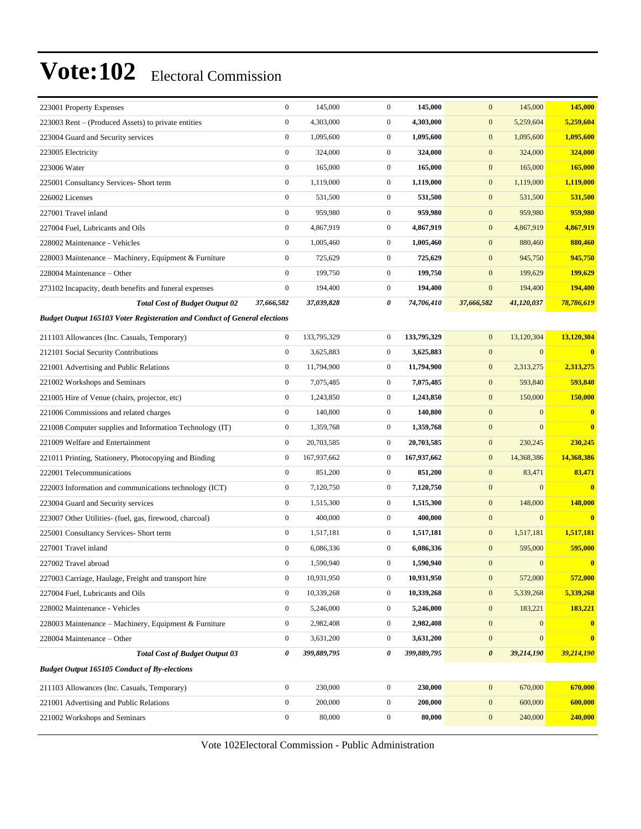| $\boldsymbol{0}$<br>4,303,000<br>$\mathbf{0}$<br>4,303,000<br>$\mathbf{0}$<br>5,259,604<br>5,259,604<br>223003 Rent – (Produced Assets) to private entities<br>1,095,600<br>223004 Guard and Security services<br>$\boldsymbol{0}$<br>1,095,600<br>$\mathbf{0}$<br>1,095,600<br>$\mathbf{0}$<br>1,095,600<br>$\mathbf{0}$<br>324,000<br>$\mathbf{0}$<br>324,000<br>$\mathbf{0}$<br>324,000<br>324,000<br>223005 Electricity<br>223006 Water<br>$\boldsymbol{0}$<br>165,000<br>$\mathbf{0}$<br>165,000<br>$\mathbf{0}$<br>165,000<br>165,000<br>$\boldsymbol{0}$<br>1,119,000<br>1,119,000<br>$\mathbf{0}$<br>1,119,000<br>$\mathbf{0}$<br>1,119,000<br>225001 Consultancy Services- Short term<br>$\boldsymbol{0}$<br>531,500<br>$\mathbf{0}$<br>531,500<br>$\mathbf{0}$<br>531,500<br>531,500<br>226002 Licenses<br>227001 Travel inland<br>$\boldsymbol{0}$<br>959,980<br>$\mathbf{0}$<br>959,980<br>$\mathbf{0}$<br>959,980<br>959,980<br>$\mathbf{0}$<br>4,867,919<br>$\mathbf{0}$<br>4,867,919<br>$\mathbf{0}$<br>4,867,919<br>4,867,919<br>227004 Fuel, Lubricants and Oils<br>880,460<br>$\boldsymbol{0}$<br>1,005,460<br>$\mathbf{0}$<br>1,005,460<br>$\mathbf{0}$<br>880,460<br>228002 Maintenance - Vehicles<br>945,750<br>228003 Maintenance - Machinery, Equipment & Furniture<br>$\boldsymbol{0}$<br>725,629<br>$\mathbf{0}$<br>725,629<br>$\mathbf{0}$<br>945,750<br>$\mathbf{0}$<br>199,750<br>$\mathbf{0}$<br>199,750<br>$\mathbf{0}$<br>199,629<br>199,629<br>228004 Maintenance – Other<br>194,400<br>$\boldsymbol{0}$<br>194,400<br>$\mathbf{0}$<br>194,400<br>$\boldsymbol{0}$<br>194,400<br>273102 Incapacity, death benefits and funeral expenses<br>37,666,582<br>37,039,828<br>0<br>74,706,410<br>37,666,582<br>41,120,037<br>78,786,619<br><b>Total Cost of Budget Output 02</b><br><b>Budget Output 165103 Voter Registeration and Conduct of General elections</b><br>13,120,304<br>$\boldsymbol{0}$<br>133,795,329<br>$\mathbf{0}$<br>133,795,329<br>$\mathbf{0}$<br>13,120,304<br>211103 Allowances (Inc. Casuals, Temporary)<br>$\mathbf{0}$<br>$\boldsymbol{0}$<br>3,625,883<br>$\mathbf{0}$<br>3,625,883<br>$\mathbf{0}$<br>$\bf{0}$<br>212101 Social Security Contributions<br>221001 Advertising and Public Relations<br>$\mathbf{0}$<br>11,794,900<br>$\mathbf{0}$<br>11,794,900<br>$\mathbf{0}$<br>2,313,275<br>2,313,275<br>593,840<br>221002 Workshops and Seminars<br>$\boldsymbol{0}$<br>7,075,485<br>$\mathbf{0}$<br>7,075,485<br>$\mathbf{0}$<br>593,840<br>$\mathbf{0}$<br>1,243,850<br>$\mathbf{0}$<br>1,243,850<br>$\mathbf{0}$<br>150,000<br>150,000<br>221005 Hire of Venue (chairs, projector, etc)<br>$\boldsymbol{0}$<br>140,800<br>$\mathbf{0}$<br>140,800<br>$\mathbf{0}$<br>$\mathbf{0}$<br>$\bf{0}$<br>221006 Commissions and related charges<br>$\overline{0}$<br>$\boldsymbol{0}$<br>1,359,768<br>$\mathbf{0}$<br>1,359,768<br>$\mathbf{0}$<br>$\bf{0}$<br>221008 Computer supplies and Information Technology (IT)<br>221009 Welfare and Entertainment<br>$\mathbf{0}$<br>20,703,585<br>$\mathbf{0}$<br>20,703,585<br>$\mathbf{0}$<br>230,245<br>230,245<br>221011 Printing, Stationery, Photocopying and Binding<br>$\boldsymbol{0}$<br>167,937,662<br>$\mathbf{0}$<br>167,937,662<br>$\mathbf{0}$<br>14,368,386<br>14,368,386<br>$\boldsymbol{0}$<br>851,200<br>$\mathbf{0}$<br>851,200<br>$\mathbf{0}$<br>83,471<br>83,471<br>222001 Telecommunications<br>$\boldsymbol{0}$<br>7,120,750<br>$\mathbf{0}$<br>7,120,750<br>$\mathbf{0}$<br>$\mathbf{0}$<br>$\bf{0}$<br>222003 Information and communications technology (ICT)<br>$\boldsymbol{0}$<br>148,000<br>148,000<br>223004 Guard and Security services<br>$\mathbf{0}$<br>$\mathbf{0}$<br>1,515,300<br>1,515,300<br>223007 Other Utilities- (fuel, gas, firewood, charcoal)<br>$\boldsymbol{0}$<br>400,000<br>$\mathbf{0}$<br>400,000<br>$\mathbf{0}$<br>$\mathbf{0}$<br>$\bf{0}$<br>1,517,181<br>225001 Consultancy Services- Short term<br>$\boldsymbol{0}$<br>1,517,181<br>$\mathbf{0}$<br>$\mathbf{0}$<br>1,517,181<br>1,517,181<br>$\mathbf{0}$<br>6,086,336<br>$\mathbf{0}$<br>6,086,336<br>$\mathbf{0}$<br>595,000<br>595,000<br>227001 Travel inland<br>$\mathbf{0}$<br>1,590,940<br>$\overline{0}$<br>1,590,940<br>$\boldsymbol{0}$<br>$\mathbf{0}$<br>$\mathbf{0}$<br>227002 Travel abroad<br>$\boldsymbol{0}$<br>10,931,950<br>$\boldsymbol{0}$<br>10,931,950<br>572,000<br>227003 Carriage, Haulage, Freight and transport hire<br>$\mathbf{0}$<br>572,000<br>10,339,268<br>10,339,268<br>$\boldsymbol{0}$<br>$\boldsymbol{0}$<br>$\boldsymbol{0}$<br>5,339,268<br>5,339,268<br>227004 Fuel, Lubricants and Oils<br>$\boldsymbol{0}$<br>5,246,000<br>$\boldsymbol{0}$<br>5,246,000<br>$\mathbf{0}$<br>183,221<br>183,221<br>228002 Maintenance - Vehicles<br>$\boldsymbol{0}$<br>$\boldsymbol{0}$<br>2,982,408<br>$\boldsymbol{0}$<br>2,982,408<br>$\bf{0}$<br>$\bf{0}$<br>228003 Maintenance – Machinery, Equipment & Furniture<br>228004 Maintenance - Other<br>$\boldsymbol{0}$<br>3,631,200<br>$\boldsymbol{0}$<br>3,631,200<br>$\mathbf{0}$<br>$\mathbf{0}$<br>$\bf{0}$<br>39,214,190<br>$\boldsymbol{\theta}$<br><b>Total Cost of Budget Output 03</b><br>0<br>399,889,795<br>0<br>399,889,795<br>39,214,190<br><b>Budget Output 165105 Conduct of By-elections</b><br>$\boldsymbol{0}$<br>$\boldsymbol{0}$<br>230,000<br>230,000<br>$\mathbf{0}$<br>670,000<br>670,000<br>211103 Allowances (Inc. Casuals, Temporary)<br>221001 Advertising and Public Relations<br>$\boldsymbol{0}$<br>200,000<br>$\mathbf{0}$<br>200,000<br>$\mathbf{0}$<br>600,000<br>600,000<br>$\boldsymbol{0}$<br>$\boldsymbol{0}$<br>80,000<br>80,000<br>$\mathbf{0}$<br>240,000<br>240,000<br>221002 Workshops and Seminars | 223001 Property Expenses | $\boldsymbol{0}$ | 145,000 | $\mathbf{0}$ | 145,000 | $\mathbf{0}$ | 145,000 | 145,000 |
|-----------------------------------------------------------------------------------------------------------------------------------------------------------------------------------------------------------------------------------------------------------------------------------------------------------------------------------------------------------------------------------------------------------------------------------------------------------------------------------------------------------------------------------------------------------------------------------------------------------------------------------------------------------------------------------------------------------------------------------------------------------------------------------------------------------------------------------------------------------------------------------------------------------------------------------------------------------------------------------------------------------------------------------------------------------------------------------------------------------------------------------------------------------------------------------------------------------------------------------------------------------------------------------------------------------------------------------------------------------------------------------------------------------------------------------------------------------------------------------------------------------------------------------------------------------------------------------------------------------------------------------------------------------------------------------------------------------------------------------------------------------------------------------------------------------------------------------------------------------------------------------------------------------------------------------------------------------------------------------------------------------------------------------------------------------------------------------------------------------------------------------------------------------------------------------------------------------------------------------------------------------------------------------------------------------------------------------------------------------------------------------------------------------------------------------------------------------------------------------------------------------------------------------------------------------------------------------------------------------------------------------------------------------------------------------------------------------------------------------------------------------------------------------------------------------------------------------------------------------------------------------------------------------------------------------------------------------------------------------------------------------------------------------------------------------------------------------------------------------------------------------------------------------------------------------------------------------------------------------------------------------------------------------------------------------------------------------------------------------------------------------------------------------------------------------------------------------------------------------------------------------------------------------------------------------------------------------------------------------------------------------------------------------------------------------------------------------------------------------------------------------------------------------------------------------------------------------------------------------------------------------------------------------------------------------------------------------------------------------------------------------------------------------------------------------------------------------------------------------------------------------------------------------------------------------------------------------------------------------------------------------------------------------------------------------------------------------------------------------------------------------------------------------------------------------------------------------------------------------------------------------------------------------------------------------------------------------------------------------------------------------------------------------------------------------------------------------------------------------------------------------------------------------------------------------------------------------------------------------------------------------------------------------------------------------------------------------------------------------------------------------------------------------------------------------------------------------------------------------------------------------------------------------------------------------------------------------------------------------------------------------------------------------------------------------------------------------------------------------------------------------------------------------------------------------------------------------------------------------------------------------------------------------------------------------------------------------------------------------------------------------------------------------------------------------------------------------------------------------------|--------------------------|------------------|---------|--------------|---------|--------------|---------|---------|
|                                                                                                                                                                                                                                                                                                                                                                                                                                                                                                                                                                                                                                                                                                                                                                                                                                                                                                                                                                                                                                                                                                                                                                                                                                                                                                                                                                                                                                                                                                                                                                                                                                                                                                                                                                                                                                                                                                                                                                                                                                                                                                                                                                                                                                                                                                                                                                                                                                                                                                                                                                                                                                                                                                                                                                                                                                                                                                                                                                                                                                                                                                                                                                                                                                                                                                                                                                                                                                                                                                                                                                                                                                                                                                                                                                                                                                                                                                                                                                                                                                                                                                                                                                                                                                                                                                                                                                                                                                                                                                                                                                                                                                                                                                                                                                                                                                                                                                                                                                                                                                                                                                                                                                                                                                                                                                                                                                                                                                                                                                                                                                                                                                                                                                                                         |                          |                  |         |              |         |              |         |         |
|                                                                                                                                                                                                                                                                                                                                                                                                                                                                                                                                                                                                                                                                                                                                                                                                                                                                                                                                                                                                                                                                                                                                                                                                                                                                                                                                                                                                                                                                                                                                                                                                                                                                                                                                                                                                                                                                                                                                                                                                                                                                                                                                                                                                                                                                                                                                                                                                                                                                                                                                                                                                                                                                                                                                                                                                                                                                                                                                                                                                                                                                                                                                                                                                                                                                                                                                                                                                                                                                                                                                                                                                                                                                                                                                                                                                                                                                                                                                                                                                                                                                                                                                                                                                                                                                                                                                                                                                                                                                                                                                                                                                                                                                                                                                                                                                                                                                                                                                                                                                                                                                                                                                                                                                                                                                                                                                                                                                                                                                                                                                                                                                                                                                                                                                         |                          |                  |         |              |         |              |         |         |
|                                                                                                                                                                                                                                                                                                                                                                                                                                                                                                                                                                                                                                                                                                                                                                                                                                                                                                                                                                                                                                                                                                                                                                                                                                                                                                                                                                                                                                                                                                                                                                                                                                                                                                                                                                                                                                                                                                                                                                                                                                                                                                                                                                                                                                                                                                                                                                                                                                                                                                                                                                                                                                                                                                                                                                                                                                                                                                                                                                                                                                                                                                                                                                                                                                                                                                                                                                                                                                                                                                                                                                                                                                                                                                                                                                                                                                                                                                                                                                                                                                                                                                                                                                                                                                                                                                                                                                                                                                                                                                                                                                                                                                                                                                                                                                                                                                                                                                                                                                                                                                                                                                                                                                                                                                                                                                                                                                                                                                                                                                                                                                                                                                                                                                                                         |                          |                  |         |              |         |              |         |         |
|                                                                                                                                                                                                                                                                                                                                                                                                                                                                                                                                                                                                                                                                                                                                                                                                                                                                                                                                                                                                                                                                                                                                                                                                                                                                                                                                                                                                                                                                                                                                                                                                                                                                                                                                                                                                                                                                                                                                                                                                                                                                                                                                                                                                                                                                                                                                                                                                                                                                                                                                                                                                                                                                                                                                                                                                                                                                                                                                                                                                                                                                                                                                                                                                                                                                                                                                                                                                                                                                                                                                                                                                                                                                                                                                                                                                                                                                                                                                                                                                                                                                                                                                                                                                                                                                                                                                                                                                                                                                                                                                                                                                                                                                                                                                                                                                                                                                                                                                                                                                                                                                                                                                                                                                                                                                                                                                                                                                                                                                                                                                                                                                                                                                                                                                         |                          |                  |         |              |         |              |         |         |
|                                                                                                                                                                                                                                                                                                                                                                                                                                                                                                                                                                                                                                                                                                                                                                                                                                                                                                                                                                                                                                                                                                                                                                                                                                                                                                                                                                                                                                                                                                                                                                                                                                                                                                                                                                                                                                                                                                                                                                                                                                                                                                                                                                                                                                                                                                                                                                                                                                                                                                                                                                                                                                                                                                                                                                                                                                                                                                                                                                                                                                                                                                                                                                                                                                                                                                                                                                                                                                                                                                                                                                                                                                                                                                                                                                                                                                                                                                                                                                                                                                                                                                                                                                                                                                                                                                                                                                                                                                                                                                                                                                                                                                                                                                                                                                                                                                                                                                                                                                                                                                                                                                                                                                                                                                                                                                                                                                                                                                                                                                                                                                                                                                                                                                                                         |                          |                  |         |              |         |              |         |         |
|                                                                                                                                                                                                                                                                                                                                                                                                                                                                                                                                                                                                                                                                                                                                                                                                                                                                                                                                                                                                                                                                                                                                                                                                                                                                                                                                                                                                                                                                                                                                                                                                                                                                                                                                                                                                                                                                                                                                                                                                                                                                                                                                                                                                                                                                                                                                                                                                                                                                                                                                                                                                                                                                                                                                                                                                                                                                                                                                                                                                                                                                                                                                                                                                                                                                                                                                                                                                                                                                                                                                                                                                                                                                                                                                                                                                                                                                                                                                                                                                                                                                                                                                                                                                                                                                                                                                                                                                                                                                                                                                                                                                                                                                                                                                                                                                                                                                                                                                                                                                                                                                                                                                                                                                                                                                                                                                                                                                                                                                                                                                                                                                                                                                                                                                         |                          |                  |         |              |         |              |         |         |
|                                                                                                                                                                                                                                                                                                                                                                                                                                                                                                                                                                                                                                                                                                                                                                                                                                                                                                                                                                                                                                                                                                                                                                                                                                                                                                                                                                                                                                                                                                                                                                                                                                                                                                                                                                                                                                                                                                                                                                                                                                                                                                                                                                                                                                                                                                                                                                                                                                                                                                                                                                                                                                                                                                                                                                                                                                                                                                                                                                                                                                                                                                                                                                                                                                                                                                                                                                                                                                                                                                                                                                                                                                                                                                                                                                                                                                                                                                                                                                                                                                                                                                                                                                                                                                                                                                                                                                                                                                                                                                                                                                                                                                                                                                                                                                                                                                                                                                                                                                                                                                                                                                                                                                                                                                                                                                                                                                                                                                                                                                                                                                                                                                                                                                                                         |                          |                  |         |              |         |              |         |         |
|                                                                                                                                                                                                                                                                                                                                                                                                                                                                                                                                                                                                                                                                                                                                                                                                                                                                                                                                                                                                                                                                                                                                                                                                                                                                                                                                                                                                                                                                                                                                                                                                                                                                                                                                                                                                                                                                                                                                                                                                                                                                                                                                                                                                                                                                                                                                                                                                                                                                                                                                                                                                                                                                                                                                                                                                                                                                                                                                                                                                                                                                                                                                                                                                                                                                                                                                                                                                                                                                                                                                                                                                                                                                                                                                                                                                                                                                                                                                                                                                                                                                                                                                                                                                                                                                                                                                                                                                                                                                                                                                                                                                                                                                                                                                                                                                                                                                                                                                                                                                                                                                                                                                                                                                                                                                                                                                                                                                                                                                                                                                                                                                                                                                                                                                         |                          |                  |         |              |         |              |         |         |
|                                                                                                                                                                                                                                                                                                                                                                                                                                                                                                                                                                                                                                                                                                                                                                                                                                                                                                                                                                                                                                                                                                                                                                                                                                                                                                                                                                                                                                                                                                                                                                                                                                                                                                                                                                                                                                                                                                                                                                                                                                                                                                                                                                                                                                                                                                                                                                                                                                                                                                                                                                                                                                                                                                                                                                                                                                                                                                                                                                                                                                                                                                                                                                                                                                                                                                                                                                                                                                                                                                                                                                                                                                                                                                                                                                                                                                                                                                                                                                                                                                                                                                                                                                                                                                                                                                                                                                                                                                                                                                                                                                                                                                                                                                                                                                                                                                                                                                                                                                                                                                                                                                                                                                                                                                                                                                                                                                                                                                                                                                                                                                                                                                                                                                                                         |                          |                  |         |              |         |              |         |         |
|                                                                                                                                                                                                                                                                                                                                                                                                                                                                                                                                                                                                                                                                                                                                                                                                                                                                                                                                                                                                                                                                                                                                                                                                                                                                                                                                                                                                                                                                                                                                                                                                                                                                                                                                                                                                                                                                                                                                                                                                                                                                                                                                                                                                                                                                                                                                                                                                                                                                                                                                                                                                                                                                                                                                                                                                                                                                                                                                                                                                                                                                                                                                                                                                                                                                                                                                                                                                                                                                                                                                                                                                                                                                                                                                                                                                                                                                                                                                                                                                                                                                                                                                                                                                                                                                                                                                                                                                                                                                                                                                                                                                                                                                                                                                                                                                                                                                                                                                                                                                                                                                                                                                                                                                                                                                                                                                                                                                                                                                                                                                                                                                                                                                                                                                         |                          |                  |         |              |         |              |         |         |
|                                                                                                                                                                                                                                                                                                                                                                                                                                                                                                                                                                                                                                                                                                                                                                                                                                                                                                                                                                                                                                                                                                                                                                                                                                                                                                                                                                                                                                                                                                                                                                                                                                                                                                                                                                                                                                                                                                                                                                                                                                                                                                                                                                                                                                                                                                                                                                                                                                                                                                                                                                                                                                                                                                                                                                                                                                                                                                                                                                                                                                                                                                                                                                                                                                                                                                                                                                                                                                                                                                                                                                                                                                                                                                                                                                                                                                                                                                                                                                                                                                                                                                                                                                                                                                                                                                                                                                                                                                                                                                                                                                                                                                                                                                                                                                                                                                                                                                                                                                                                                                                                                                                                                                                                                                                                                                                                                                                                                                                                                                                                                                                                                                                                                                                                         |                          |                  |         |              |         |              |         |         |
|                                                                                                                                                                                                                                                                                                                                                                                                                                                                                                                                                                                                                                                                                                                                                                                                                                                                                                                                                                                                                                                                                                                                                                                                                                                                                                                                                                                                                                                                                                                                                                                                                                                                                                                                                                                                                                                                                                                                                                                                                                                                                                                                                                                                                                                                                                                                                                                                                                                                                                                                                                                                                                                                                                                                                                                                                                                                                                                                                                                                                                                                                                                                                                                                                                                                                                                                                                                                                                                                                                                                                                                                                                                                                                                                                                                                                                                                                                                                                                                                                                                                                                                                                                                                                                                                                                                                                                                                                                                                                                                                                                                                                                                                                                                                                                                                                                                                                                                                                                                                                                                                                                                                                                                                                                                                                                                                                                                                                                                                                                                                                                                                                                                                                                                                         |                          |                  |         |              |         |              |         |         |
|                                                                                                                                                                                                                                                                                                                                                                                                                                                                                                                                                                                                                                                                                                                                                                                                                                                                                                                                                                                                                                                                                                                                                                                                                                                                                                                                                                                                                                                                                                                                                                                                                                                                                                                                                                                                                                                                                                                                                                                                                                                                                                                                                                                                                                                                                                                                                                                                                                                                                                                                                                                                                                                                                                                                                                                                                                                                                                                                                                                                                                                                                                                                                                                                                                                                                                                                                                                                                                                                                                                                                                                                                                                                                                                                                                                                                                                                                                                                                                                                                                                                                                                                                                                                                                                                                                                                                                                                                                                                                                                                                                                                                                                                                                                                                                                                                                                                                                                                                                                                                                                                                                                                                                                                                                                                                                                                                                                                                                                                                                                                                                                                                                                                                                                                         |                          |                  |         |              |         |              |         |         |
|                                                                                                                                                                                                                                                                                                                                                                                                                                                                                                                                                                                                                                                                                                                                                                                                                                                                                                                                                                                                                                                                                                                                                                                                                                                                                                                                                                                                                                                                                                                                                                                                                                                                                                                                                                                                                                                                                                                                                                                                                                                                                                                                                                                                                                                                                                                                                                                                                                                                                                                                                                                                                                                                                                                                                                                                                                                                                                                                                                                                                                                                                                                                                                                                                                                                                                                                                                                                                                                                                                                                                                                                                                                                                                                                                                                                                                                                                                                                                                                                                                                                                                                                                                                                                                                                                                                                                                                                                                                                                                                                                                                                                                                                                                                                                                                                                                                                                                                                                                                                                                                                                                                                                                                                                                                                                                                                                                                                                                                                                                                                                                                                                                                                                                                                         |                          |                  |         |              |         |              |         |         |
|                                                                                                                                                                                                                                                                                                                                                                                                                                                                                                                                                                                                                                                                                                                                                                                                                                                                                                                                                                                                                                                                                                                                                                                                                                                                                                                                                                                                                                                                                                                                                                                                                                                                                                                                                                                                                                                                                                                                                                                                                                                                                                                                                                                                                                                                                                                                                                                                                                                                                                                                                                                                                                                                                                                                                                                                                                                                                                                                                                                                                                                                                                                                                                                                                                                                                                                                                                                                                                                                                                                                                                                                                                                                                                                                                                                                                                                                                                                                                                                                                                                                                                                                                                                                                                                                                                                                                                                                                                                                                                                                                                                                                                                                                                                                                                                                                                                                                                                                                                                                                                                                                                                                                                                                                                                                                                                                                                                                                                                                                                                                                                                                                                                                                                                                         |                          |                  |         |              |         |              |         |         |
|                                                                                                                                                                                                                                                                                                                                                                                                                                                                                                                                                                                                                                                                                                                                                                                                                                                                                                                                                                                                                                                                                                                                                                                                                                                                                                                                                                                                                                                                                                                                                                                                                                                                                                                                                                                                                                                                                                                                                                                                                                                                                                                                                                                                                                                                                                                                                                                                                                                                                                                                                                                                                                                                                                                                                                                                                                                                                                                                                                                                                                                                                                                                                                                                                                                                                                                                                                                                                                                                                                                                                                                                                                                                                                                                                                                                                                                                                                                                                                                                                                                                                                                                                                                                                                                                                                                                                                                                                                                                                                                                                                                                                                                                                                                                                                                                                                                                                                                                                                                                                                                                                                                                                                                                                                                                                                                                                                                                                                                                                                                                                                                                                                                                                                                                         |                          |                  |         |              |         |              |         |         |
|                                                                                                                                                                                                                                                                                                                                                                                                                                                                                                                                                                                                                                                                                                                                                                                                                                                                                                                                                                                                                                                                                                                                                                                                                                                                                                                                                                                                                                                                                                                                                                                                                                                                                                                                                                                                                                                                                                                                                                                                                                                                                                                                                                                                                                                                                                                                                                                                                                                                                                                                                                                                                                                                                                                                                                                                                                                                                                                                                                                                                                                                                                                                                                                                                                                                                                                                                                                                                                                                                                                                                                                                                                                                                                                                                                                                                                                                                                                                                                                                                                                                                                                                                                                                                                                                                                                                                                                                                                                                                                                                                                                                                                                                                                                                                                                                                                                                                                                                                                                                                                                                                                                                                                                                                                                                                                                                                                                                                                                                                                                                                                                                                                                                                                                                         |                          |                  |         |              |         |              |         |         |
|                                                                                                                                                                                                                                                                                                                                                                                                                                                                                                                                                                                                                                                                                                                                                                                                                                                                                                                                                                                                                                                                                                                                                                                                                                                                                                                                                                                                                                                                                                                                                                                                                                                                                                                                                                                                                                                                                                                                                                                                                                                                                                                                                                                                                                                                                                                                                                                                                                                                                                                                                                                                                                                                                                                                                                                                                                                                                                                                                                                                                                                                                                                                                                                                                                                                                                                                                                                                                                                                                                                                                                                                                                                                                                                                                                                                                                                                                                                                                                                                                                                                                                                                                                                                                                                                                                                                                                                                                                                                                                                                                                                                                                                                                                                                                                                                                                                                                                                                                                                                                                                                                                                                                                                                                                                                                                                                                                                                                                                                                                                                                                                                                                                                                                                                         |                          |                  |         |              |         |              |         |         |
|                                                                                                                                                                                                                                                                                                                                                                                                                                                                                                                                                                                                                                                                                                                                                                                                                                                                                                                                                                                                                                                                                                                                                                                                                                                                                                                                                                                                                                                                                                                                                                                                                                                                                                                                                                                                                                                                                                                                                                                                                                                                                                                                                                                                                                                                                                                                                                                                                                                                                                                                                                                                                                                                                                                                                                                                                                                                                                                                                                                                                                                                                                                                                                                                                                                                                                                                                                                                                                                                                                                                                                                                                                                                                                                                                                                                                                                                                                                                                                                                                                                                                                                                                                                                                                                                                                                                                                                                                                                                                                                                                                                                                                                                                                                                                                                                                                                                                                                                                                                                                                                                                                                                                                                                                                                                                                                                                                                                                                                                                                                                                                                                                                                                                                                                         |                          |                  |         |              |         |              |         |         |
|                                                                                                                                                                                                                                                                                                                                                                                                                                                                                                                                                                                                                                                                                                                                                                                                                                                                                                                                                                                                                                                                                                                                                                                                                                                                                                                                                                                                                                                                                                                                                                                                                                                                                                                                                                                                                                                                                                                                                                                                                                                                                                                                                                                                                                                                                                                                                                                                                                                                                                                                                                                                                                                                                                                                                                                                                                                                                                                                                                                                                                                                                                                                                                                                                                                                                                                                                                                                                                                                                                                                                                                                                                                                                                                                                                                                                                                                                                                                                                                                                                                                                                                                                                                                                                                                                                                                                                                                                                                                                                                                                                                                                                                                                                                                                                                                                                                                                                                                                                                                                                                                                                                                                                                                                                                                                                                                                                                                                                                                                                                                                                                                                                                                                                                                         |                          |                  |         |              |         |              |         |         |
|                                                                                                                                                                                                                                                                                                                                                                                                                                                                                                                                                                                                                                                                                                                                                                                                                                                                                                                                                                                                                                                                                                                                                                                                                                                                                                                                                                                                                                                                                                                                                                                                                                                                                                                                                                                                                                                                                                                                                                                                                                                                                                                                                                                                                                                                                                                                                                                                                                                                                                                                                                                                                                                                                                                                                                                                                                                                                                                                                                                                                                                                                                                                                                                                                                                                                                                                                                                                                                                                                                                                                                                                                                                                                                                                                                                                                                                                                                                                                                                                                                                                                                                                                                                                                                                                                                                                                                                                                                                                                                                                                                                                                                                                                                                                                                                                                                                                                                                                                                                                                                                                                                                                                                                                                                                                                                                                                                                                                                                                                                                                                                                                                                                                                                                                         |                          |                  |         |              |         |              |         |         |
|                                                                                                                                                                                                                                                                                                                                                                                                                                                                                                                                                                                                                                                                                                                                                                                                                                                                                                                                                                                                                                                                                                                                                                                                                                                                                                                                                                                                                                                                                                                                                                                                                                                                                                                                                                                                                                                                                                                                                                                                                                                                                                                                                                                                                                                                                                                                                                                                                                                                                                                                                                                                                                                                                                                                                                                                                                                                                                                                                                                                                                                                                                                                                                                                                                                                                                                                                                                                                                                                                                                                                                                                                                                                                                                                                                                                                                                                                                                                                                                                                                                                                                                                                                                                                                                                                                                                                                                                                                                                                                                                                                                                                                                                                                                                                                                                                                                                                                                                                                                                                                                                                                                                                                                                                                                                                                                                                                                                                                                                                                                                                                                                                                                                                                                                         |                          |                  |         |              |         |              |         |         |
|                                                                                                                                                                                                                                                                                                                                                                                                                                                                                                                                                                                                                                                                                                                                                                                                                                                                                                                                                                                                                                                                                                                                                                                                                                                                                                                                                                                                                                                                                                                                                                                                                                                                                                                                                                                                                                                                                                                                                                                                                                                                                                                                                                                                                                                                                                                                                                                                                                                                                                                                                                                                                                                                                                                                                                                                                                                                                                                                                                                                                                                                                                                                                                                                                                                                                                                                                                                                                                                                                                                                                                                                                                                                                                                                                                                                                                                                                                                                                                                                                                                                                                                                                                                                                                                                                                                                                                                                                                                                                                                                                                                                                                                                                                                                                                                                                                                                                                                                                                                                                                                                                                                                                                                                                                                                                                                                                                                                                                                                                                                                                                                                                                                                                                                                         |                          |                  |         |              |         |              |         |         |
|                                                                                                                                                                                                                                                                                                                                                                                                                                                                                                                                                                                                                                                                                                                                                                                                                                                                                                                                                                                                                                                                                                                                                                                                                                                                                                                                                                                                                                                                                                                                                                                                                                                                                                                                                                                                                                                                                                                                                                                                                                                                                                                                                                                                                                                                                                                                                                                                                                                                                                                                                                                                                                                                                                                                                                                                                                                                                                                                                                                                                                                                                                                                                                                                                                                                                                                                                                                                                                                                                                                                                                                                                                                                                                                                                                                                                                                                                                                                                                                                                                                                                                                                                                                                                                                                                                                                                                                                                                                                                                                                                                                                                                                                                                                                                                                                                                                                                                                                                                                                                                                                                                                                                                                                                                                                                                                                                                                                                                                                                                                                                                                                                                                                                                                                         |                          |                  |         |              |         |              |         |         |
|                                                                                                                                                                                                                                                                                                                                                                                                                                                                                                                                                                                                                                                                                                                                                                                                                                                                                                                                                                                                                                                                                                                                                                                                                                                                                                                                                                                                                                                                                                                                                                                                                                                                                                                                                                                                                                                                                                                                                                                                                                                                                                                                                                                                                                                                                                                                                                                                                                                                                                                                                                                                                                                                                                                                                                                                                                                                                                                                                                                                                                                                                                                                                                                                                                                                                                                                                                                                                                                                                                                                                                                                                                                                                                                                                                                                                                                                                                                                                                                                                                                                                                                                                                                                                                                                                                                                                                                                                                                                                                                                                                                                                                                                                                                                                                                                                                                                                                                                                                                                                                                                                                                                                                                                                                                                                                                                                                                                                                                                                                                                                                                                                                                                                                                                         |                          |                  |         |              |         |              |         |         |
|                                                                                                                                                                                                                                                                                                                                                                                                                                                                                                                                                                                                                                                                                                                                                                                                                                                                                                                                                                                                                                                                                                                                                                                                                                                                                                                                                                                                                                                                                                                                                                                                                                                                                                                                                                                                                                                                                                                                                                                                                                                                                                                                                                                                                                                                                                                                                                                                                                                                                                                                                                                                                                                                                                                                                                                                                                                                                                                                                                                                                                                                                                                                                                                                                                                                                                                                                                                                                                                                                                                                                                                                                                                                                                                                                                                                                                                                                                                                                                                                                                                                                                                                                                                                                                                                                                                                                                                                                                                                                                                                                                                                                                                                                                                                                                                                                                                                                                                                                                                                                                                                                                                                                                                                                                                                                                                                                                                                                                                                                                                                                                                                                                                                                                                                         |                          |                  |         |              |         |              |         |         |
|                                                                                                                                                                                                                                                                                                                                                                                                                                                                                                                                                                                                                                                                                                                                                                                                                                                                                                                                                                                                                                                                                                                                                                                                                                                                                                                                                                                                                                                                                                                                                                                                                                                                                                                                                                                                                                                                                                                                                                                                                                                                                                                                                                                                                                                                                                                                                                                                                                                                                                                                                                                                                                                                                                                                                                                                                                                                                                                                                                                                                                                                                                                                                                                                                                                                                                                                                                                                                                                                                                                                                                                                                                                                                                                                                                                                                                                                                                                                                                                                                                                                                                                                                                                                                                                                                                                                                                                                                                                                                                                                                                                                                                                                                                                                                                                                                                                                                                                                                                                                                                                                                                                                                                                                                                                                                                                                                                                                                                                                                                                                                                                                                                                                                                                                         |                          |                  |         |              |         |              |         |         |
|                                                                                                                                                                                                                                                                                                                                                                                                                                                                                                                                                                                                                                                                                                                                                                                                                                                                                                                                                                                                                                                                                                                                                                                                                                                                                                                                                                                                                                                                                                                                                                                                                                                                                                                                                                                                                                                                                                                                                                                                                                                                                                                                                                                                                                                                                                                                                                                                                                                                                                                                                                                                                                                                                                                                                                                                                                                                                                                                                                                                                                                                                                                                                                                                                                                                                                                                                                                                                                                                                                                                                                                                                                                                                                                                                                                                                                                                                                                                                                                                                                                                                                                                                                                                                                                                                                                                                                                                                                                                                                                                                                                                                                                                                                                                                                                                                                                                                                                                                                                                                                                                                                                                                                                                                                                                                                                                                                                                                                                                                                                                                                                                                                                                                                                                         |                          |                  |         |              |         |              |         |         |
|                                                                                                                                                                                                                                                                                                                                                                                                                                                                                                                                                                                                                                                                                                                                                                                                                                                                                                                                                                                                                                                                                                                                                                                                                                                                                                                                                                                                                                                                                                                                                                                                                                                                                                                                                                                                                                                                                                                                                                                                                                                                                                                                                                                                                                                                                                                                                                                                                                                                                                                                                                                                                                                                                                                                                                                                                                                                                                                                                                                                                                                                                                                                                                                                                                                                                                                                                                                                                                                                                                                                                                                                                                                                                                                                                                                                                                                                                                                                                                                                                                                                                                                                                                                                                                                                                                                                                                                                                                                                                                                                                                                                                                                                                                                                                                                                                                                                                                                                                                                                                                                                                                                                                                                                                                                                                                                                                                                                                                                                                                                                                                                                                                                                                                                                         |                          |                  |         |              |         |              |         |         |
|                                                                                                                                                                                                                                                                                                                                                                                                                                                                                                                                                                                                                                                                                                                                                                                                                                                                                                                                                                                                                                                                                                                                                                                                                                                                                                                                                                                                                                                                                                                                                                                                                                                                                                                                                                                                                                                                                                                                                                                                                                                                                                                                                                                                                                                                                                                                                                                                                                                                                                                                                                                                                                                                                                                                                                                                                                                                                                                                                                                                                                                                                                                                                                                                                                                                                                                                                                                                                                                                                                                                                                                                                                                                                                                                                                                                                                                                                                                                                                                                                                                                                                                                                                                                                                                                                                                                                                                                                                                                                                                                                                                                                                                                                                                                                                                                                                                                                                                                                                                                                                                                                                                                                                                                                                                                                                                                                                                                                                                                                                                                                                                                                                                                                                                                         |                          |                  |         |              |         |              |         |         |
|                                                                                                                                                                                                                                                                                                                                                                                                                                                                                                                                                                                                                                                                                                                                                                                                                                                                                                                                                                                                                                                                                                                                                                                                                                                                                                                                                                                                                                                                                                                                                                                                                                                                                                                                                                                                                                                                                                                                                                                                                                                                                                                                                                                                                                                                                                                                                                                                                                                                                                                                                                                                                                                                                                                                                                                                                                                                                                                                                                                                                                                                                                                                                                                                                                                                                                                                                                                                                                                                                                                                                                                                                                                                                                                                                                                                                                                                                                                                                                                                                                                                                                                                                                                                                                                                                                                                                                                                                                                                                                                                                                                                                                                                                                                                                                                                                                                                                                                                                                                                                                                                                                                                                                                                                                                                                                                                                                                                                                                                                                                                                                                                                                                                                                                                         |                          |                  |         |              |         |              |         |         |
|                                                                                                                                                                                                                                                                                                                                                                                                                                                                                                                                                                                                                                                                                                                                                                                                                                                                                                                                                                                                                                                                                                                                                                                                                                                                                                                                                                                                                                                                                                                                                                                                                                                                                                                                                                                                                                                                                                                                                                                                                                                                                                                                                                                                                                                                                                                                                                                                                                                                                                                                                                                                                                                                                                                                                                                                                                                                                                                                                                                                                                                                                                                                                                                                                                                                                                                                                                                                                                                                                                                                                                                                                                                                                                                                                                                                                                                                                                                                                                                                                                                                                                                                                                                                                                                                                                                                                                                                                                                                                                                                                                                                                                                                                                                                                                                                                                                                                                                                                                                                                                                                                                                                                                                                                                                                                                                                                                                                                                                                                                                                                                                                                                                                                                                                         |                          |                  |         |              |         |              |         |         |
|                                                                                                                                                                                                                                                                                                                                                                                                                                                                                                                                                                                                                                                                                                                                                                                                                                                                                                                                                                                                                                                                                                                                                                                                                                                                                                                                                                                                                                                                                                                                                                                                                                                                                                                                                                                                                                                                                                                                                                                                                                                                                                                                                                                                                                                                                                                                                                                                                                                                                                                                                                                                                                                                                                                                                                                                                                                                                                                                                                                                                                                                                                                                                                                                                                                                                                                                                                                                                                                                                                                                                                                                                                                                                                                                                                                                                                                                                                                                                                                                                                                                                                                                                                                                                                                                                                                                                                                                                                                                                                                                                                                                                                                                                                                                                                                                                                                                                                                                                                                                                                                                                                                                                                                                                                                                                                                                                                                                                                                                                                                                                                                                                                                                                                                                         |                          |                  |         |              |         |              |         |         |
|                                                                                                                                                                                                                                                                                                                                                                                                                                                                                                                                                                                                                                                                                                                                                                                                                                                                                                                                                                                                                                                                                                                                                                                                                                                                                                                                                                                                                                                                                                                                                                                                                                                                                                                                                                                                                                                                                                                                                                                                                                                                                                                                                                                                                                                                                                                                                                                                                                                                                                                                                                                                                                                                                                                                                                                                                                                                                                                                                                                                                                                                                                                                                                                                                                                                                                                                                                                                                                                                                                                                                                                                                                                                                                                                                                                                                                                                                                                                                                                                                                                                                                                                                                                                                                                                                                                                                                                                                                                                                                                                                                                                                                                                                                                                                                                                                                                                                                                                                                                                                                                                                                                                                                                                                                                                                                                                                                                                                                                                                                                                                                                                                                                                                                                                         |                          |                  |         |              |         |              |         |         |
|                                                                                                                                                                                                                                                                                                                                                                                                                                                                                                                                                                                                                                                                                                                                                                                                                                                                                                                                                                                                                                                                                                                                                                                                                                                                                                                                                                                                                                                                                                                                                                                                                                                                                                                                                                                                                                                                                                                                                                                                                                                                                                                                                                                                                                                                                                                                                                                                                                                                                                                                                                                                                                                                                                                                                                                                                                                                                                                                                                                                                                                                                                                                                                                                                                                                                                                                                                                                                                                                                                                                                                                                                                                                                                                                                                                                                                                                                                                                                                                                                                                                                                                                                                                                                                                                                                                                                                                                                                                                                                                                                                                                                                                                                                                                                                                                                                                                                                                                                                                                                                                                                                                                                                                                                                                                                                                                                                                                                                                                                                                                                                                                                                                                                                                                         |                          |                  |         |              |         |              |         |         |
|                                                                                                                                                                                                                                                                                                                                                                                                                                                                                                                                                                                                                                                                                                                                                                                                                                                                                                                                                                                                                                                                                                                                                                                                                                                                                                                                                                                                                                                                                                                                                                                                                                                                                                                                                                                                                                                                                                                                                                                                                                                                                                                                                                                                                                                                                                                                                                                                                                                                                                                                                                                                                                                                                                                                                                                                                                                                                                                                                                                                                                                                                                                                                                                                                                                                                                                                                                                                                                                                                                                                                                                                                                                                                                                                                                                                                                                                                                                                                                                                                                                                                                                                                                                                                                                                                                                                                                                                                                                                                                                                                                                                                                                                                                                                                                                                                                                                                                                                                                                                                                                                                                                                                                                                                                                                                                                                                                                                                                                                                                                                                                                                                                                                                                                                         |                          |                  |         |              |         |              |         |         |
|                                                                                                                                                                                                                                                                                                                                                                                                                                                                                                                                                                                                                                                                                                                                                                                                                                                                                                                                                                                                                                                                                                                                                                                                                                                                                                                                                                                                                                                                                                                                                                                                                                                                                                                                                                                                                                                                                                                                                                                                                                                                                                                                                                                                                                                                                                                                                                                                                                                                                                                                                                                                                                                                                                                                                                                                                                                                                                                                                                                                                                                                                                                                                                                                                                                                                                                                                                                                                                                                                                                                                                                                                                                                                                                                                                                                                                                                                                                                                                                                                                                                                                                                                                                                                                                                                                                                                                                                                                                                                                                                                                                                                                                                                                                                                                                                                                                                                                                                                                                                                                                                                                                                                                                                                                                                                                                                                                                                                                                                                                                                                                                                                                                                                                                                         |                          |                  |         |              |         |              |         |         |
|                                                                                                                                                                                                                                                                                                                                                                                                                                                                                                                                                                                                                                                                                                                                                                                                                                                                                                                                                                                                                                                                                                                                                                                                                                                                                                                                                                                                                                                                                                                                                                                                                                                                                                                                                                                                                                                                                                                                                                                                                                                                                                                                                                                                                                                                                                                                                                                                                                                                                                                                                                                                                                                                                                                                                                                                                                                                                                                                                                                                                                                                                                                                                                                                                                                                                                                                                                                                                                                                                                                                                                                                                                                                                                                                                                                                                                                                                                                                                                                                                                                                                                                                                                                                                                                                                                                                                                                                                                                                                                                                                                                                                                                                                                                                                                                                                                                                                                                                                                                                                                                                                                                                                                                                                                                                                                                                                                                                                                                                                                                                                                                                                                                                                                                                         |                          |                  |         |              |         |              |         |         |
|                                                                                                                                                                                                                                                                                                                                                                                                                                                                                                                                                                                                                                                                                                                                                                                                                                                                                                                                                                                                                                                                                                                                                                                                                                                                                                                                                                                                                                                                                                                                                                                                                                                                                                                                                                                                                                                                                                                                                                                                                                                                                                                                                                                                                                                                                                                                                                                                                                                                                                                                                                                                                                                                                                                                                                                                                                                                                                                                                                                                                                                                                                                                                                                                                                                                                                                                                                                                                                                                                                                                                                                                                                                                                                                                                                                                                                                                                                                                                                                                                                                                                                                                                                                                                                                                                                                                                                                                                                                                                                                                                                                                                                                                                                                                                                                                                                                                                                                                                                                                                                                                                                                                                                                                                                                                                                                                                                                                                                                                                                                                                                                                                                                                                                                                         |                          |                  |         |              |         |              |         |         |
|                                                                                                                                                                                                                                                                                                                                                                                                                                                                                                                                                                                                                                                                                                                                                                                                                                                                                                                                                                                                                                                                                                                                                                                                                                                                                                                                                                                                                                                                                                                                                                                                                                                                                                                                                                                                                                                                                                                                                                                                                                                                                                                                                                                                                                                                                                                                                                                                                                                                                                                                                                                                                                                                                                                                                                                                                                                                                                                                                                                                                                                                                                                                                                                                                                                                                                                                                                                                                                                                                                                                                                                                                                                                                                                                                                                                                                                                                                                                                                                                                                                                                                                                                                                                                                                                                                                                                                                                                                                                                                                                                                                                                                                                                                                                                                                                                                                                                                                                                                                                                                                                                                                                                                                                                                                                                                                                                                                                                                                                                                                                                                                                                                                                                                                                         |                          |                  |         |              |         |              |         |         |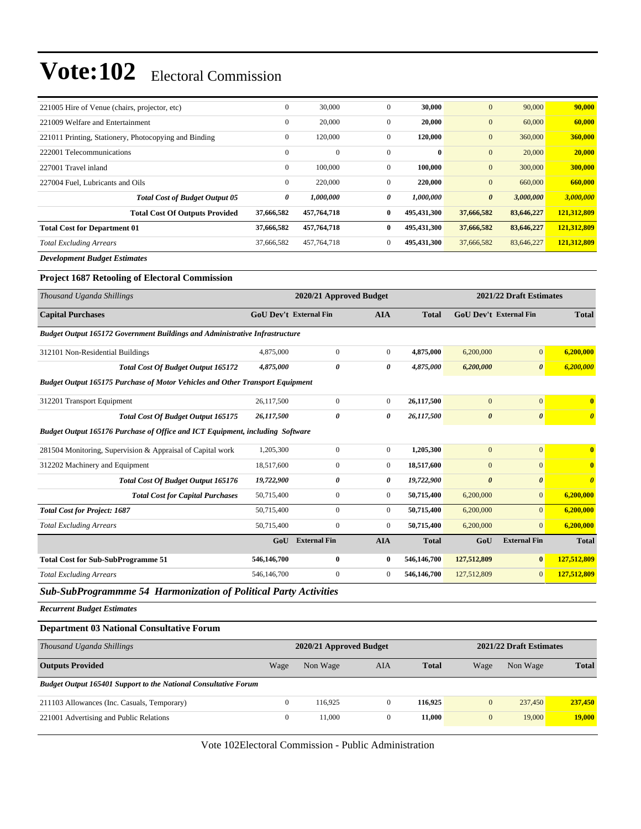| 221005 Hire of Venue (chairs, projector, etc)         | $\mathbf{0}$ | 30,000       | $\mathbf{0}$ | 30,000      | $\mathbf{0}$          | 90,000     | 90,000      |
|-------------------------------------------------------|--------------|--------------|--------------|-------------|-----------------------|------------|-------------|
| 221009 Welfare and Entertainment                      | $\mathbf{0}$ | 20,000       | $\mathbf{0}$ | 20,000      | $\boldsymbol{0}$      | 60,000     | 60,000      |
| 221011 Printing, Stationery, Photocopying and Binding | $\mathbf{0}$ | 120,000      | $\mathbf{0}$ | 120,000     | $\mathbf{0}$          | 360,000    | 360,000     |
| 222001 Telecommunications                             | $\mathbf{0}$ | $\mathbf{0}$ | $\Omega$     | $\bf{0}$    | $\mathbf{0}$          | 20,000     | 20,000      |
| 227001 Travel inland                                  | $\mathbf{0}$ | 100,000      | $\mathbf{0}$ | 100,000     | $\mathbf{0}$          | 300,000    | 300,000     |
| 227004 Fuel. Lubricants and Oils                      | $\mathbf{0}$ | 220,000      | $\Omega$     | 220,000     | $\mathbf{0}$          | 660,000    | 660,000     |
| <b>Total Cost of Budget Output 05</b>                 | 0            | 1,000,000    | 0            | 1,000,000   | $\boldsymbol{\theta}$ | 3,000,000  | 3,000,000   |
| <b>Total Cost Of Outputs Provided</b>                 | 37,666,582   | 457,764,718  | $\bf{0}$     | 495.431.300 | 37,666,582            | 83,646,227 | 121,312,809 |
| <b>Total Cost for Department 01</b>                   | 37,666,582   | 457,764,718  | $\bf{0}$     | 495,431,300 | 37,666,582            | 83,646,227 | 121,312,809 |
| <b>Total Excluding Arrears</b>                        | 37,666,582   | 457,764,718  | $\mathbf{0}$ | 495,431,300 | 37,666,582            | 83,646,227 | 121,312,809 |

*Development Budget Estimates*

#### **Project 1687 Retooling of Electoral Commission**

| Thousand Uganda Shillings                                                                                                          |                               | 2020/21 Approved Budget |                  |              |                               | 2021/22 Draft Estimates |                                  |
|------------------------------------------------------------------------------------------------------------------------------------|-------------------------------|-------------------------|------------------|--------------|-------------------------------|-------------------------|----------------------------------|
| <b>Capital Purchases</b>                                                                                                           | <b>GoU Dev't External Fin</b> |                         | <b>AIA</b>       | <b>Total</b> | <b>GoU Dev't External Fin</b> |                         | <b>Total</b>                     |
| <b>Budget Output 165172 Government Buildings and Administrative Infrastructure</b>                                                 |                               |                         |                  |              |                               |                         |                                  |
| 312101 Non-Residential Buildings                                                                                                   | 4,875,000                     | $\overline{0}$          | $\mathbf{0}$     | 4,875,000    | 6,200,000                     | $\mathbf{0}$            | 6,200,000                        |
| <b>Total Cost Of Budget Output 165172</b>                                                                                          | 4,875,000                     | 0                       | 0                | 4,875,000    | 6,200,000                     | $\boldsymbol{\theta}$   | 6,200,000                        |
| <b>Budget Output 165175 Purchase of Motor Vehicles and Other Transport Equipment</b>                                               |                               |                         |                  |              |                               |                         |                                  |
| 312201 Transport Equipment                                                                                                         | 26,117,500                    | $\overline{0}$          | $\mathbf{0}$     | 26,117,500   | $\overline{0}$                | $\overline{0}$          | $\bf{0}$                         |
| Total Cost Of Budget Output 165175                                                                                                 | 26,117,500                    | $\theta$                | 0                | 26,117,500   | $\boldsymbol{\theta}$         | $\pmb{\theta}$          | $\boldsymbol{\theta}$            |
| Budget Output 165176 Purchase of Office and ICT Equipment, including Software                                                      |                               |                         |                  |              |                               |                         |                                  |
| 281504 Monitoring, Supervision & Appraisal of Capital work                                                                         | 1,205,300                     | $\mathbf{0}$            | $\overline{0}$   | 1,205,300    | $\overline{0}$                | $\overline{0}$          | $\mathbf{0}$                     |
| 312202 Machinery and Equipment                                                                                                     | 18,517,600                    | $\boldsymbol{0}$        | $\boldsymbol{0}$ | 18,517,600   | $\boldsymbol{0}$              | $\overline{0}$          | $\bf{0}$                         |
| Total Cost Of Budget Output 165176                                                                                                 | 19,722,900                    | 0                       | 0                | 19,722,900   | $\boldsymbol{\theta}$         | $\boldsymbol{\theta}$   | $\overline{\boldsymbol{\theta}}$ |
| <b>Total Cost for Capital Purchases</b>                                                                                            | 50,715,400                    | $\mathbf{0}$            | $\overline{0}$   | 50,715,400   | 6,200,000                     | $\overline{0}$          | 6,200,000                        |
| <b>Total Cost for Project: 1687</b>                                                                                                | 50,715,400                    | $\overline{0}$          | $\mathbf{0}$     | 50,715,400   | 6,200,000                     | $\overline{0}$          | 6,200,000                        |
| <b>Total Excluding Arrears</b>                                                                                                     | 50,715,400                    | $\overline{0}$          | $\mathbf{0}$     | 50,715,400   | 6,200,000                     | $\Omega$                | 6,200,000                        |
|                                                                                                                                    | GoU                           | <b>External Fin</b>     | <b>AIA</b>       | <b>Total</b> | GoU                           | <b>External Fin</b>     | <b>Total</b>                     |
| <b>Total Cost for Sub-SubProgramme 51</b>                                                                                          | 546,146,700                   | $\bf{0}$                | $\mathbf{0}$     | 546,146,700  | 127,512,809                   | $\bf{0}$                | 127,512,809                      |
| <b>Total Excluding Arrears</b>                                                                                                     | 546,146,700                   | $\overline{0}$          | $\mathbf{0}$     | 546,146,700  | 127,512,809                   | $\overline{0}$          | 127,512,809                      |
| $F \wedge T$<br>$\mathbf{r}$ and $\mathbf{r}$ and $\mathbf{r}$ and $\mathbf{r}$ and $\mathbf{r}$ and $\mathbf{r}$ and $\mathbf{r}$ |                               |                         |                  |              |                               |                         |                                  |

*Sub-SubProgrammme 54 Harmonization of Political Party Activities*

*Recurrent Budget Estimates*

#### **Department 03 National Consultative Forum**

| Thousand Uganda Shillings                                              |              |          | 2020/21 Approved Budget |              |              | 2021/22 Draft Estimates |               |
|------------------------------------------------------------------------|--------------|----------|-------------------------|--------------|--------------|-------------------------|---------------|
| <b>Outputs Provided</b>                                                | Wage         | Non Wage | AIA                     | <b>Total</b> | Wage         | Non Wage                | <b>Total</b>  |
| <b>Budget Output 165401 Support to the National Consultative Forum</b> |              |          |                         |              |              |                         |               |
| 211103 Allowances (Inc. Casuals, Temporary)                            | $\Omega$     | 116.925  |                         | 116.925      | $\mathbf{0}$ | 237,450                 | 237,450       |
| 221001 Advertising and Public Relations                                | $\mathbf{0}$ | 11.000   |                         | 11.000       | $\mathbf{0}$ | 19,000                  | <b>19,000</b> |